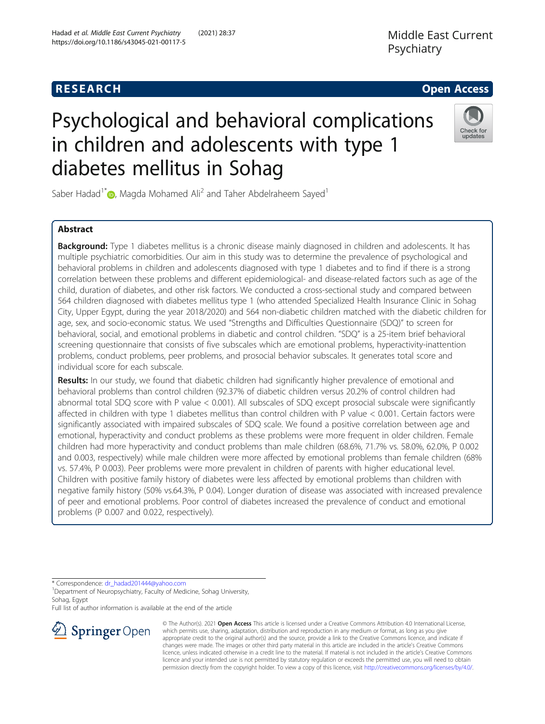# **RESEARCH CHE Open Access**

# Psychological and behavioral complications in children and adolescents with type 1 diabetes mellitus in Sohag

Saber Hadad<sup>1\*</sup> [,](http://orcid.org/0000-0002-3960-0121) Magda Mohamed Ali<sup>2</sup> and Taher Abdelraheem Sayed<sup>1</sup>

# Abstract

Background: Type 1 diabetes mellitus is a chronic disease mainly diagnosed in children and adolescents. It has multiple psychiatric comorbidities. Our aim in this study was to determine the prevalence of psychological and behavioral problems in children and adolescents diagnosed with type 1 diabetes and to find if there is a strong correlation between these problems and different epidemiological- and disease-related factors such as age of the child, duration of diabetes, and other risk factors. We conducted a cross-sectional study and compared between 564 children diagnosed with diabetes mellitus type 1 (who attended Specialized Health Insurance Clinic in Sohag City, Upper Egypt, during the year 2018/2020) and 564 non-diabetic children matched with the diabetic children for age, sex, and socio-economic status. We used "Strengths and Difficulties Questionnaire (SDQ)" to screen for behavioral, social, and emotional problems in diabetic and control children. "SDQ" is a 25-item brief behavioral screening questionnaire that consists of five subscales which are emotional problems, hyperactivity-inattention problems, conduct problems, peer problems, and prosocial behavior subscales. It generates total score and individual score for each subscale.

Results: In our study, we found that diabetic children had significantly higher prevalence of emotional and behavioral problems than control children (92.37% of diabetic children versus 20.2% of control children had abnormal total SDQ score with P value < 0.001). All subscales of SDQ except prosocial subscale were significantly affected in children with type 1 diabetes mellitus than control children with P value < 0.001. Certain factors were significantly associated with impaired subscales of SDQ scale. We found a positive correlation between age and emotional, hyperactivity and conduct problems as these problems were more frequent in older children. Female children had more hyperactivity and conduct problems than male children (68.6%, 71.7% vs. 58.0%, 62.0%, P 0.002 and 0.003, respectively) while male children were more affected by emotional problems than female children (68% vs. 57.4%, P 0.003). Peer problems were more prevalent in children of parents with higher educational level. Children with positive family history of diabetes were less affected by emotional problems than children with negative family history (50% vs.64.3%, P 0.04). Longer duration of disease was associated with increased prevalence of peer and emotional problems. Poor control of diabetes increased the prevalence of conduct and emotional problems (P 0.007 and 0.022, respectively).

\* Correspondence: [dr\\_hadad201444@yahoo.com](mailto:dr_hadad201444@yahoo.com) <sup>1</sup>

<sup>1</sup> Department of Neuropsychiatry, Faculty of Medicine, Sohag University, Sohag, Egypt

Full list of author information is available at the end of the article





permission directly from the copyright holder. To view a copy of this licence, visit <http://creativecommons.org/licenses/by/4.0/>.







updates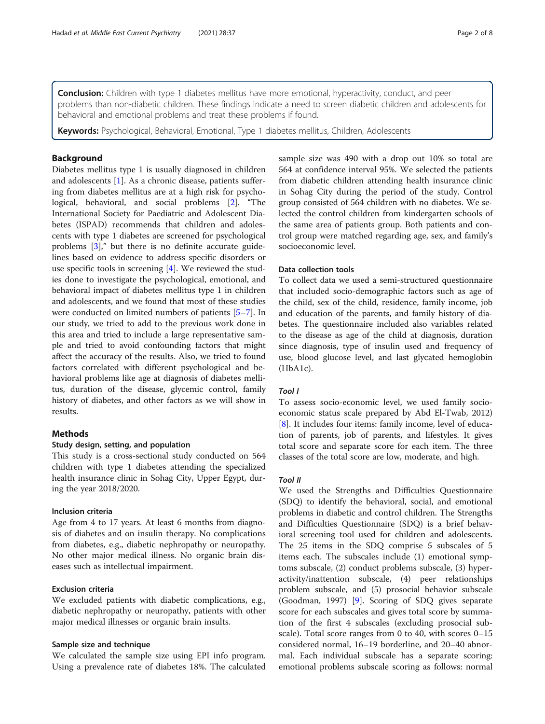**Conclusion:** Children with type 1 diabetes mellitus have more emotional, hyperactivity, conduct, and peer problems than non-diabetic children. These findings indicate a need to screen diabetic children and adolescents for behavioral and emotional problems and treat these problems if found.

Keywords: Psychological, Behavioral, Emotional, Type 1 diabetes mellitus, Children, Adolescents

# Background

Diabetes mellitus type 1 is usually diagnosed in children and adolescents [\[1](#page-6-0)]. As a chronic disease, patients suffering from diabetes mellitus are at a high risk for psychological, behavioral, and social problems [[2\]](#page-6-0). "The International Society for Paediatric and Adolescent Diabetes (ISPAD) recommends that children and adolescents with type 1 diabetes are screened for psychological problems [[3](#page-6-0)]," but there is no definite accurate guidelines based on evidence to address specific disorders or use specific tools in screening [\[4](#page-6-0)]. We reviewed the studies done to investigate the psychological, emotional, and behavioral impact of diabetes mellitus type 1 in children and adolescents, and we found that most of these studies were conducted on limited numbers of patients [[5](#page-6-0)–[7\]](#page-6-0). In our study, we tried to add to the previous work done in this area and tried to include a large representative sample and tried to avoid confounding factors that might affect the accuracy of the results. Also, we tried to found factors correlated with different psychological and behavioral problems like age at diagnosis of diabetes mellitus, duration of the disease, glycemic control, family history of diabetes, and other factors as we will show in results.

# Methods

### Study design, setting, and population

This study is a cross-sectional study conducted on 564 children with type 1 diabetes attending the specialized health insurance clinic in Sohag City, Upper Egypt, during the year 2018/2020.

#### Inclusion criteria

Age from 4 to 17 years. At least 6 months from diagnosis of diabetes and on insulin therapy. No complications from diabetes, e.g., diabetic nephropathy or neuropathy. No other major medical illness. No organic brain diseases such as intellectual impairment.

# Exclusion criteria

We excluded patients with diabetic complications, e.g., diabetic nephropathy or neuropathy, patients with other major medical illnesses or organic brain insults.

#### Sample size and technique

We calculated the sample size using EPI info program. Using a prevalence rate of diabetes 18%. The calculated sample size was 490 with a drop out 10% so total are 564 at confidence interval 95%. We selected the patients from diabetic children attending health insurance clinic in Sohag City during the period of the study. Control group consisted of 564 children with no diabetes. We selected the control children from kindergarten schools of the same area of patients group. Both patients and control group were matched regarding age, sex, and family's socioeconomic level.

# Data collection tools

To collect data we used a semi-structured questionnaire that included socio-demographic factors such as age of the child, sex of the child, residence, family income, job and education of the parents, and family history of diabetes. The questionnaire included also variables related to the disease as age of the child at diagnosis, duration since diagnosis, type of insulin used and frequency of use, blood glucose level, and last glycated hemoglobin (HbA1c).

### Tool I

To assess socio-economic level, we used family socioeconomic status scale prepared by Abd El-Twab, 2012) [[8\]](#page-6-0). It includes four items: family income, level of education of parents, job of parents, and lifestyles. It gives total score and separate score for each item. The three classes of the total score are low, moderate, and high.

We used the Strengths and Difficulties Questionnaire (SDQ) to identify the behavioral, social, and emotional problems in diabetic and control children. The Strengths and Difficulties Questionnaire (SDQ) is a brief behavioral screening tool used for children and adolescents. The 25 items in the SDQ comprise 5 subscales of 5 items each. The subscales include (1) emotional symptoms subscale, (2) conduct problems subscale, (3) hyperactivity/inattention subscale, (4) peer relationships problem subscale, and (5) prosocial behavior subscale (Goodman, 1997) [[9\]](#page-6-0). Scoring of SDQ gives separate score for each subscales and gives total score by summation of the first 4 subscales (excluding prosocial subscale). Total score ranges from 0 to 40, with scores 0–15 considered normal, 16–19 borderline, and 20–40 abnormal. Each individual subscale has a separate scoring: emotional problems subscale scoring as follows: normal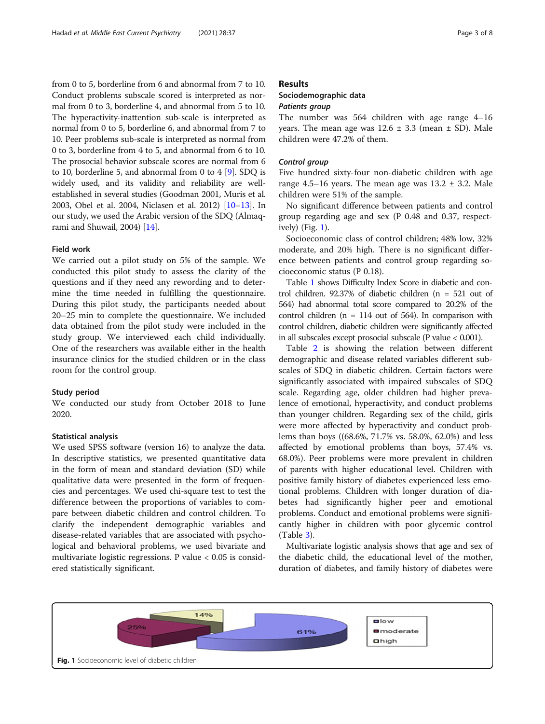from 0 to 5, borderline from 6 and abnormal from 7 to 10. Conduct problems subscale scored is interpreted as normal from 0 to 3, borderline 4, and abnormal from 5 to 10. The hyperactivity-inattention sub-scale is interpreted as normal from 0 to 5, borderline 6, and abnormal from 7 to 10. Peer problems sub-scale is interpreted as normal from 0 to 3, borderline from 4 to 5, and abnormal from 6 to 10. The prosocial behavior subscale scores are normal from 6 to 10, borderline 5, and abnormal from 0 to 4 [[9](#page-6-0)]. SDQ is widely used, and its validity and reliability are wellestablished in several studies (Goodman 2001, Muris et al. 2003, Obel et al. 2004, Niclasen et al. 2012) [[10](#page-6-0)–[13\]](#page-7-0). In our study, we used the Arabic version of the SDQ (Almaqrami and Shuwail, 2004) [\[14](#page-7-0)].

# Field work

We carried out a pilot study on 5% of the sample. We conducted this pilot study to assess the clarity of the questions and if they need any rewording and to determine the time needed in fulfilling the questionnaire. During this pilot study, the participants needed about 20–25 min to complete the questionnaire. We included data obtained from the pilot study were included in the study group. We interviewed each child individually. One of the researchers was available either in the health insurance clinics for the studied children or in the class room for the control group.

#### Study period

We conducted our study from October 2018 to June 2020.

#### Statistical analysis

We used SPSS software (version 16) to analyze the data. In descriptive statistics, we presented quantitative data in the form of mean and standard deviation (SD) while qualitative data were presented in the form of frequencies and percentages. We used chi-square test to test the difference between the proportions of variables to compare between diabetic children and control children. To clarify the independent demographic variables and disease-related variables that are associated with psychological and behavioral problems, we used bivariate and multivariate logistic regressions. P value < 0.05 is considered statistically significant.

#### Results

#### Sociodemographic data

The number was 564 children with age range 4-16 years. The mean age was  $12.6 \pm 3.3$  (mean  $\pm$  SD). Male children were 47.2% of them.

Find Figure 1 and 1 and 1 and 1 and 1 and 1 and 1 and 1 and 1 and 1 and 1 and 1 and 1 and 1 and 1 and 1 and 1 a range 4.5–16 years. The mean age was  $13.2 \pm 3.2$ . Male children were 51% of the sample.

No significant difference between patients and control group regarding age and sex (P 0.48 and 0.37, respectively) (Fig. 1).

Socioeconomic class of control children; 48% low, 32% moderate, and 20% high. There is no significant difference between patients and control group regarding socioeconomic status (P 0.18).

Table [1](#page-3-0) shows Difficulty Index Score in diabetic and control children. 92.37% of diabetic children (n = 521 out of 564) had abnormal total score compared to 20.2% of the control children ( $n = 114$  out of 564). In comparison with control children, diabetic children were significantly affected in all subscales except prosocial subscale (P value < 0.001).

Table [2](#page-4-0) is showing the relation between different demographic and disease related variables different subscales of SDQ in diabetic children. Certain factors were significantly associated with impaired subscales of SDQ scale. Regarding age, older children had higher prevalence of emotional, hyperactivity, and conduct problems than younger children. Regarding sex of the child, girls were more affected by hyperactivity and conduct problems than boys ((68.6%, 71.7% vs. 58.0%, 62.0%) and less affected by emotional problems than boys, 57.4% vs. 68.0%). Peer problems were more prevalent in children of parents with higher educational level. Children with positive family history of diabetes experienced less emotional problems. Children with longer duration of diabetes had significantly higher peer and emotional problems. Conduct and emotional problems were significantly higher in children with poor glycemic control (Table [3\)](#page-5-0).

Multivariate logistic analysis shows that age and sex of the diabetic child, the educational level of the mother, duration of diabetes, and family history of diabetes were

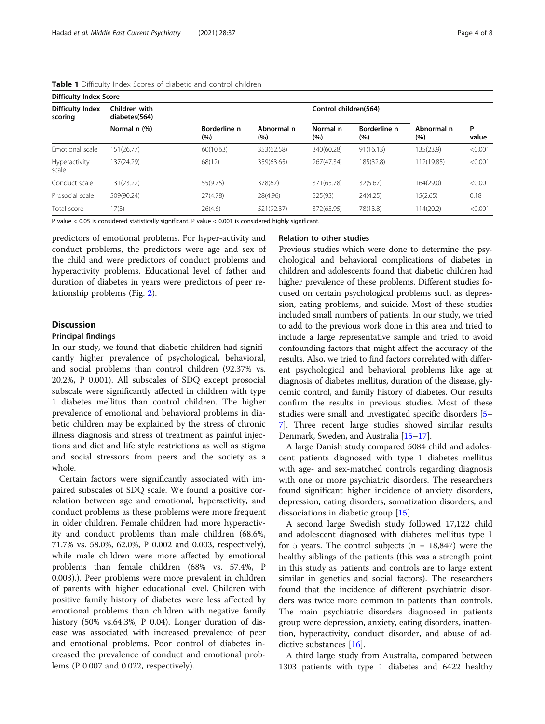| <b>Difficulty Index Score</b>      |                                |                     |                   |                       |                     |                      |            |  |
|------------------------------------|--------------------------------|---------------------|-------------------|-----------------------|---------------------|----------------------|------------|--|
| <b>Difficulty Index</b><br>scoring | Children with<br>diabetes(564) |                     |                   | Control children(564) |                     |                      |            |  |
|                                    | Normal n (%)                   | Borderline n<br>(%) | Abnormal n<br>(%) | Normal n<br>(%)       | Borderline n<br>(%) | Abnormal n<br>$(\%)$ | P<br>value |  |
| Emotional scale                    | 151(26.77)                     | 60(10.63)           | 353(62.58)        | 340(60.28)            | 91(16.13)           | 135(23.9)            | < 0.001    |  |
| Hyperactivity<br>scale             | 137(24.29)                     | 68(12)              | 359(63.65)        | 267(47.34)            | 185(32.8)           | 112(19.85)           | < 0.001    |  |
| Conduct scale                      | 131(23.22)                     | 55(9.75)            | 378(67)           | 371(65.78)            | 32(5.67)            | 164(29.0)            | < 0.001    |  |
| Prosocial scale                    | 509(90.24)                     | 27(4.78)            | 28(4.96)          | 525(93)               | 24(4.25)            | 15(2.65)             | 0.18       |  |
| Total score                        | 7(3)                           | 26(4.6)             | 521(92.37)        | 372(65.95)            | 78(13.8)            | 114(20.2)            | < 0.001    |  |

#### <span id="page-3-0"></span>Table 1 Difficulty Index Scores of diabetic and control children

P value < 0.05 is considered statistically significant. P value < 0.001 is considered highly significant.

predictors of emotional problems. For hyper-activity and conduct problems, the predictors were age and sex of the child and were predictors of conduct problems and hyperactivity problems. Educational level of father and duration of diabetes in years were predictors of peer relationship problems (Fig. [2](#page-5-0)).

### **Discussion**

#### Principal findings

In our study, we found that diabetic children had significantly higher prevalence of psychological, behavioral, and social problems than control children (92.37% vs. 20.2%, P 0.001). All subscales of SDQ except prosocial subscale were significantly affected in children with type 1 diabetes mellitus than control children. The higher prevalence of emotional and behavioral problems in diabetic children may be explained by the stress of chronic illness diagnosis and stress of treatment as painful injections and diet and life style restrictions as well as stigma and social stressors from peers and the society as a whole.

Certain factors were significantly associated with impaired subscales of SDQ scale. We found a positive correlation between age and emotional, hyperactivity, and conduct problems as these problems were more frequent in older children. Female children had more hyperactivity and conduct problems than male children (68.6%, 71.7% vs. 58.0%, 62.0%, P 0.002 and 0.003, respectively), while male children were more affected by emotional problems than female children (68% vs. 57.4%, P 0.003).). Peer problems were more prevalent in children of parents with higher educational level. Children with positive family history of diabetes were less affected by emotional problems than children with negative family history (50% vs.64.3%, P 0.04). Longer duration of disease was associated with increased prevalence of peer and emotional problems. Poor control of diabetes increased the prevalence of conduct and emotional problems (P 0.007 and 0.022, respectively).

#### Relation to other studies

Previous studies which were done to determine the psychological and behavioral complications of diabetes in children and adolescents found that diabetic children had higher prevalence of these problems. Different studies focused on certain psychological problems such as depression, eating problems, and suicide. Most of these studies included small numbers of patients. In our study, we tried to add to the previous work done in this area and tried to include a large representative sample and tried to avoid confounding factors that might affect the accuracy of the results. Also, we tried to find factors correlated with different psychological and behavioral problems like age at diagnosis of diabetes mellitus, duration of the disease, glycemic control, and family history of diabetes. Our results confirm the results in previous studies. Most of these studies were small and investigated specific disorders [[5](#page-6-0)– [7\]](#page-6-0). Three recent large studies showed similar results Denmark, Sweden, and Australia [[15](#page-7-0)–[17\]](#page-7-0).

A large Danish study compared 5084 child and adolescent patients diagnosed with type 1 diabetes mellitus with age- and sex-matched controls regarding diagnosis with one or more psychiatric disorders. The researchers found significant higher incidence of anxiety disorders, depression, eating disorders, somatization disorders, and dissociations in diabetic group [\[15](#page-7-0)].

A second large Swedish study followed 17,122 child and adolescent diagnosed with diabetes mellitus type 1 for 5 years. The control subjects  $(n = 18,847)$  were the healthy siblings of the patients (this was a strength point in this study as patients and controls are to large extent similar in genetics and social factors). The researchers found that the incidence of different psychiatric disorders was twice more common in patients than controls. The main psychiatric disorders diagnosed in patients group were depression, anxiety, eating disorders, inattention, hyperactivity, conduct disorder, and abuse of ad-dictive substances [\[16\]](#page-7-0).

A third large study from Australia, compared between 1303 patients with type 1 diabetes and 6422 healthy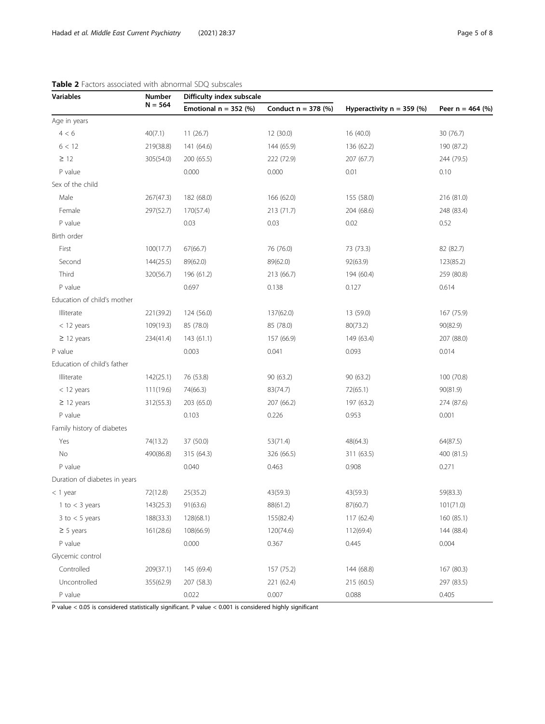| <b>Variables</b>              | Number<br>$N = 564$ | Difficulty index subscale |                       |                             |                    |  |
|-------------------------------|---------------------|---------------------------|-----------------------|-----------------------------|--------------------|--|
|                               |                     | Emotional $n = 352$ (%)   | Conduct $n = 378$ (%) | Hyperactivity $n = 359$ (%) | Peer $n = 464$ (%) |  |
| Age in years                  |                     |                           |                       |                             |                    |  |
| 4 < 6                         | 40(7.1)             | 11(26.7)                  | 12 (30.0)             | 16 (40.0)                   | 30 (76.7)          |  |
| 6 < 12                        | 219(38.8)           | 141 (64.6)                | 144 (65.9)            | 136 (62.2)                  | 190 (87.2)         |  |
| $\geq$ 12                     | 305(54.0)           | 200 (65.5)                | 222 (72.9)            | 207 (67.7)                  | 244 (79.5)         |  |
| P value                       |                     | 0.000                     | 0.000                 | 0.01                        | 0.10               |  |
| Sex of the child              |                     |                           |                       |                             |                    |  |
| Male                          | 267(47.3)           | 182 (68.0)                | 166 (62.0)            | 155 (58.0)                  | 216 (81.0)         |  |
| Female                        | 297(52.7)           | 170(57.4)                 | 213 (71.7)            | 204 (68.6)                  | 248 (83.4)         |  |
| P value                       |                     | 0.03                      | 0.03                  | 0.02                        | 0.52               |  |
| Birth order                   |                     |                           |                       |                             |                    |  |
| First                         | 100(17.7)           | 67(66.7)                  | 76 (76.0)             | 73 (73.3)                   | 82 (82.7)          |  |
| Second                        | 144(25.5)           | 89(62.0)                  | 89(62.0)              | 92(63.9)                    | 123(85.2)          |  |
| Third                         | 320(56.7)           | 196 (61.2)                | 213 (66.7)            | 194 (60.4)                  | 259 (80.8)         |  |
| P value                       |                     | 0.697                     | 0.138                 | 0.127                       | 0.614              |  |
| Education of child's mother   |                     |                           |                       |                             |                    |  |
| Illiterate                    | 221(39.2)           | 124 (56.0)                | 137(62.0)             | 13 (59.0)                   | 167 (75.9)         |  |
| $<$ 12 years                  | 109(19.3)           | 85 (78.0)                 | 85 (78.0)             | 80(73.2)                    | 90(82.9)           |  |
| $\geq$ 12 years               | 234(41.4)           | 143(61.1)                 | 157 (66.9)            | 149 (63.4)                  | 207 (88.0)         |  |
| P value                       |                     | 0.003                     | 0.041                 | 0.093                       | 0.014              |  |
| Education of child's father   |                     |                           |                       |                             |                    |  |
| Illiterate                    | 142(25.1)           | 76 (53.8)                 | 90 (63.2)             | 90 (63.2)                   | 100 (70.8)         |  |
| $<$ 12 years                  | 111(19.6)           | 74(66.3)                  | 83(74.7)              | 72(65.1)                    | 90(81.9)           |  |
| $\geq$ 12 years               | 312(55.3)           | 203 (65.0)                | 207 (66.2)            | 197 (63.2)                  | 274 (87.6)         |  |
| P value                       |                     | 0.103                     | 0.226                 | 0.953                       | 0.001              |  |
| Family history of diabetes    |                     |                           |                       |                             |                    |  |
| Yes                           | 74(13.2)            | 37 (50.0)                 | 53(71.4)              | 48(64.3)                    | 64(87.5)           |  |
| No                            | 490(86.8)           | 315 (64.3)                | 326 (66.5)            | 311 (63.5)                  | 400 (81.5)         |  |
| P value                       |                     | 0.040                     | 0.463                 | 0.908                       | 0.271              |  |
| Duration of diabetes in years |                     |                           |                       |                             |                    |  |
| $<$ 1 year                    | 72(12.8)            | 25(35.2)                  | 43(59.3)              | 43(59.3)                    | 59(83.3)           |  |
| 1 to $<$ 3 years              | 143(25.3)           | 91(63.6)                  | 88(61.2)              | 87(60.7)                    | 101(71.0)          |  |
| $3$ to $<$ 5 years            | 188(33.3)           | 128(68.1)                 | 155(82.4)             | 117 (62.4)                  | 160 (85.1)         |  |
| $\geq$ 5 years                | 161(28.6)           | 108(66.9)                 | 120(74.6)             | 112(69.4)                   | 144 (88.4)         |  |
| P value                       |                     | 0.000                     | 0.367                 | 0.445                       | 0.004              |  |
| Glycemic control              |                     |                           |                       |                             |                    |  |
| Controlled                    | 209(37.1)           | 145 (69.4)                | 157 (75.2)            | 144 (68.8)                  | 167 (80.3)         |  |
| Uncontrolled                  | 355(62.9)           | 207 (58.3)                | 221 (62.4)            | 215 (60.5)                  | 297 (83.5)         |  |
| P value                       |                     | 0.022                     | 0.007                 | 0.088                       | 0.405              |  |

# <span id="page-4-0"></span>Table 2 Factors associated with abnormal SDQ subscales

P value  $<$  0.05 is considered statistically significant. P value  $<$  0.001 is considered highly significant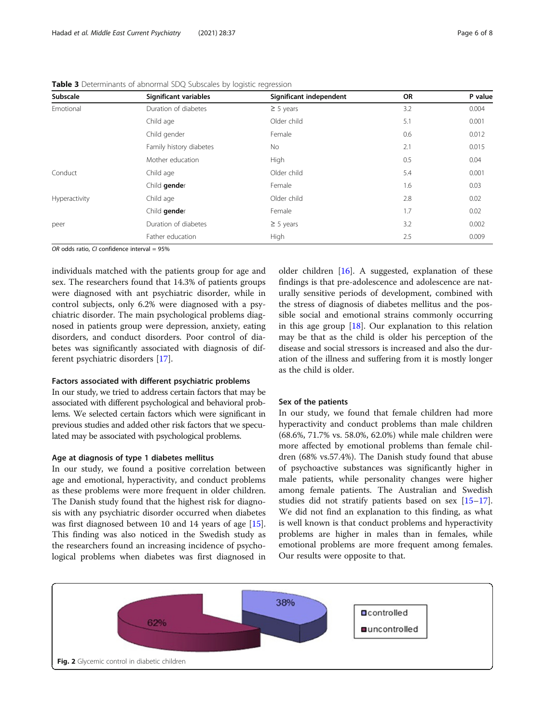| Subscale      | Significant variables   | Significant independent | <b>OR</b> | P value |
|---------------|-------------------------|-------------------------|-----------|---------|
| Emotional     | Duration of diabetes    | $\geq$ 5 years          | 3.2       | 0.004   |
|               | Child age               | Older child             | 5.1       | 0.001   |
|               | Child gender            | Female                  | 0.6       | 0.012   |
|               | Family history diabetes | No.                     | 2.1       | 0.015   |
|               | Mother education        | High                    | 0.5       | 0.04    |
| Conduct       | Child age               | Older child             | 5.4       | 0.001   |
|               | Child gender            | Female                  | 1.6       | 0.03    |
| Hyperactivity | Child age               | Older child             | 2.8       | 0.02    |
|               | Child gender            | Female                  | 1.7       | 0.02    |
| peer          | Duration of diabetes    | $\geq$ 5 years          | 3.2       | 0.002   |
|               | Father education        | High                    | 2.5       | 0.009   |

<span id="page-5-0"></span>Table 3 Determinants of abnormal SDQ Subscales by logistic regression

OR odds ratio, CI confidence interval =  $95%$ 

individuals matched with the patients group for age and sex. The researchers found that 14.3% of patients groups were diagnosed with ant psychiatric disorder, while in control subjects, only 6.2% were diagnosed with a psychiatric disorder. The main psychological problems diagnosed in patients group were depression, anxiety, eating disorders, and conduct disorders. Poor control of diabetes was significantly associated with diagnosis of different psychiatric disorders [[17\]](#page-7-0).

#### Factors associated with different psychiatric problems

In our study, we tried to address certain factors that may be associated with different psychological and behavioral problems. We selected certain factors which were significant in previous studies and added other risk factors that we speculated may be associated with psychological problems.

#### Age at diagnosis of type 1 diabetes mellitus

In our study, we found a positive correlation between age and emotional, hyperactivity, and conduct problems as these problems were more frequent in older children. The Danish study found that the highest risk for diagnosis with any psychiatric disorder occurred when diabetes was first diagnosed between 10 and 14 years of age [\[15](#page-7-0)]. This finding was also noticed in the Swedish study as the researchers found an increasing incidence of psychological problems when diabetes was first diagnosed in

older children [[16\]](#page-7-0). A suggested, explanation of these findings is that pre-adolescence and adolescence are naturally sensitive periods of development, combined with the stress of diagnosis of diabetes mellitus and the possible social and emotional strains commonly occurring in this age group  $[18]$  $[18]$  $[18]$ . Our explanation to this relation may be that as the child is older his perception of the disease and social stressors is increased and also the duration of the illness and suffering from it is mostly longer as the child is older.

#### Sex of the patients

In our study, we found that female children had more hyperactivity and conduct problems than male children (68.6%, 71.7% vs. 58.0%, 62.0%) while male children were more affected by emotional problems than female children (68% vs.57.4%). The Danish study found that abuse of psychoactive substances was significantly higher in male patients, while personality changes were higher among female patients. The Australian and Swedish studies did not stratify patients based on sex [[15](#page-7-0)–[17](#page-7-0)]. We did not find an explanation to this finding, as what is well known is that conduct problems and hyperactivity problems are higher in males than in females, while emotional problems are more frequent among females. Our results were opposite to that.

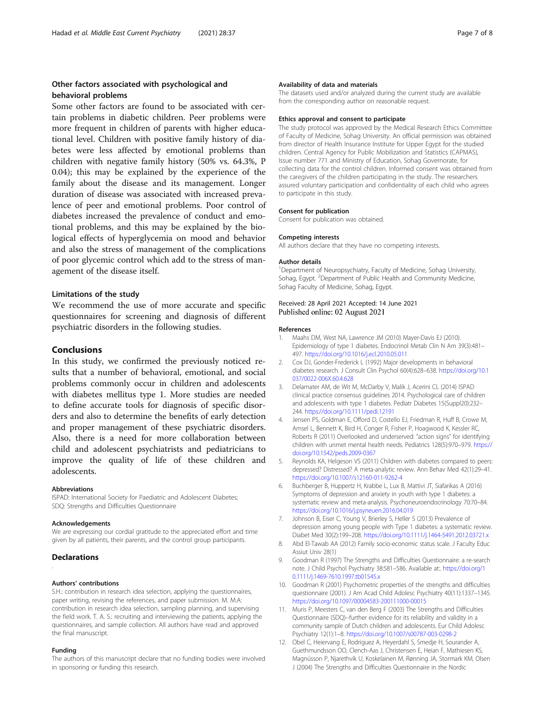# <span id="page-6-0"></span>Other factors associated with psychological and behavioral problems

Some other factors are found to be associated with certain problems in diabetic children. Peer problems were more frequent in children of parents with higher educational level. Children with positive family history of diabetes were less affected by emotional problems than children with negative family history (50% vs. 64.3%, P 0.04); this may be explained by the experience of the family about the disease and its management. Longer duration of disease was associated with increased prevalence of peer and emotional problems. Poor control of diabetes increased the prevalence of conduct and emotional problems, and this may be explained by the biological effects of hyperglycemia on mood and behavior and also the stress of management of the complications of poor glycemic control which add to the stress of management of the disease itself.

### Limitations of the study

We recommend the use of more accurate and specific questionnaires for screening and diagnosis of different psychiatric disorders in the following studies.

#### Conclusions

In this study, we confirmed the previously noticed results that a number of behavioral, emotional, and social problems commonly occur in children and adolescents with diabetes mellitus type 1. More studies are needed to define accurate tools for diagnosis of specific disorders and also to determine the benefits of early detection and proper management of these psychiatric disorders. Also, there is a need for more collaboration between child and adolescent psychiatrists and pediatricians to improve the quality of life of these children and adolescents.

#### Abbreviations

ISPAD: International Society for Paediatric and Adolescent Diabetes; SDQ: Strengths and Difficulties Questionnaire

#### Acknowledgements

We are expressing our cordial gratitude to the appreciated effort and time given by all patients, their parents, and the control group participants.

#### **Declarations**

.

#### Authors' contributions

S.H.: contribution in research idea selection, applying the questionnaires, paper writing, revising the references, and paper submission. M. M.A: contribution in research idea selection, sampling planning, and supervising the field work. T. A. S.: recruiting and interviewing the patients, applying the questionnaires, and sample collection. All authors have read and approved the final manuscript.

#### Funding

The authors of this manuscript declare that no funding bodies were involved in sponsoring or funding this research.

#### Availability of data and materials

The datasets used and/or analyzed during the current study are available from the corresponding author on reasonable request.

#### Ethics approval and consent to participate

The study protocol was approved by the Medical Research Ethics Committee of Faculty of Medicine, Sohag University. An official permission was obtained from director of Health Insurance Institute for Upper Egypt for the studied children. Central Agency for Public Mobilization and Statistics (CAPMAS), Issue number 771 and Ministry of Education, Sohag Governorate, for collecting data for the control children. Informed consent was obtained from the caregivers of the children participating in the study. The researchers assured voluntary participation and confidentiality of each child who agrees to participate in this study.

#### Consent for publication

Consent for publication was obtained.

#### Competing interests

All authors declare that they have no competing interests.

#### Author details

<sup>1</sup> Department of Neuropsychiatry, Faculty of Medicine, Sohag University Sohag, Egypt. <sup>2</sup>Department of Public Health and Community Medicine Sohag Faculty of Medicine, Sohag, Egypt.

#### Received: 28 April 2021 Accepted: 14 June 2021 Published online: 02 August 2021

#### References

- 1. Maahs DM, West NA, Lawrence JM (2010) Mayer-Davis EJ (2010). Epidemiology of type 1 diabetes. Endocrinol Metab Clin N Am 39(3):481– 497. <https://doi.org/10.1016/j.ecl.2010.05.011>
- 2. Cox DJ, Gonder-Frederick L (1992) Major developments in behavioral diabetes research. J Consult Clin Psychol 60(4):628–638. [https://doi.org/10.1](https://doi.org/10.1037/0022-006X.60.4.628) [037/0022-006X.60.4.628](https://doi.org/10.1037/0022-006X.60.4.628)
- 3. Delamater AM, de Wit M, McDarby V, Malik J, Acerini CL (2014) ISPAD clinical practice consensus guidelines 2014. Psychological care of children and adolescents with type 1 diabetes. Pediatr Diabetes 15(Suppl20):232– 244. <https://doi.org/10.1111/pedi.12191>
- 4. Jensen PS, Goldman E, Offord D, Costello EJ, Friedman R, Huff B, Crowe M, Amsel L, Bennett K, Bird H, Conger R, Fisher P, Hoagwood K, Kessler RC, Roberts R (2011) Overlooked and underserved: "action signs" for identifying children with unmet mental health needs. Pediatrics 128(5):970–979. [https://](https://doi.org/10.1542/peds.2009-0367) [doi.org/10.1542/peds.2009-0367](https://doi.org/10.1542/peds.2009-0367)
- 5. Reynolds KA, Helgeson VS (2011) Children with diabetes compared to peers: depressed? Distressed? A meta-analytic review. Ann Behav Med 42(1):29–41. <https://doi.org/10.1007/s12160-011-9262-4>
- 6. Buchberger B, Huppertz H, Krabbe L, Lux B, Mattivi JT, Siafarikas A (2016) Symptoms of depression and anxiety in youth with type 1 diabetes: a systematic review and meta-analysis. Psychoneuroendocrinology 70:70–84. <https://doi.org/10.1016/j.psyneuen.2016.04.019>
- 7. Johnson B, Eiser C, Young V, Brierley S, Heller S (2013) Prevalence of depression among young people with Type 1 diabetes: a systematic review. Diabet Med 30(2):199–208. <https://doi.org/10.1111/j.1464-5491.2012.03721.x>
- 8. Abd El-Tawab AA (2012) Family socio-economic status scale. J Faculty Educ Assiut Univ 28(1)
- 9. Goodman R (1997) The Strengths and Difficulties Questionnaire: a re-search note. J Child Psychol Psychiatry 38:581–586. Available at:. [https://doi.org/1](https://doi.org/10.1111/j.1469-7610.1997.tb01545.x) [0.1111/j.1469-7610.1997.tb01545.x](https://doi.org/10.1111/j.1469-7610.1997.tb01545.x)
- 10. Goodman R (2001) Psychometric properties of the strengths and difficulties questionnaire (2001). J Am Acad Child Adolesc Psychiatry 40(11):1337–1345. <https://doi.org/10.1097/00004583-200111000-00015>
- 11. Muris P, Meesters C, van den Berg F (2003) The Strengths and Difficulties Questionnaire (SDQ)--further evidence for its reliability and validity in a community sample of Dutch children and adolescents. Eur Child Adolesc Psychiatry 12(1):1–8. <https://doi.org/10.1007/s00787-003-0298-2>
- 12. Obel C, Heiervang E, Rodriguez A, Heyerdahl S, Smedje H, Sourander A, Guethmundsson OO, Clench-Aas J, Christensen E, Heian F, Mathiesen KS, Magnússon P, Njarethvík U, Koskelainen M, Rønning JA, Stormark KM, Olsen J (2004) The Strengths and Difficulties Questionnaire in the Nordic